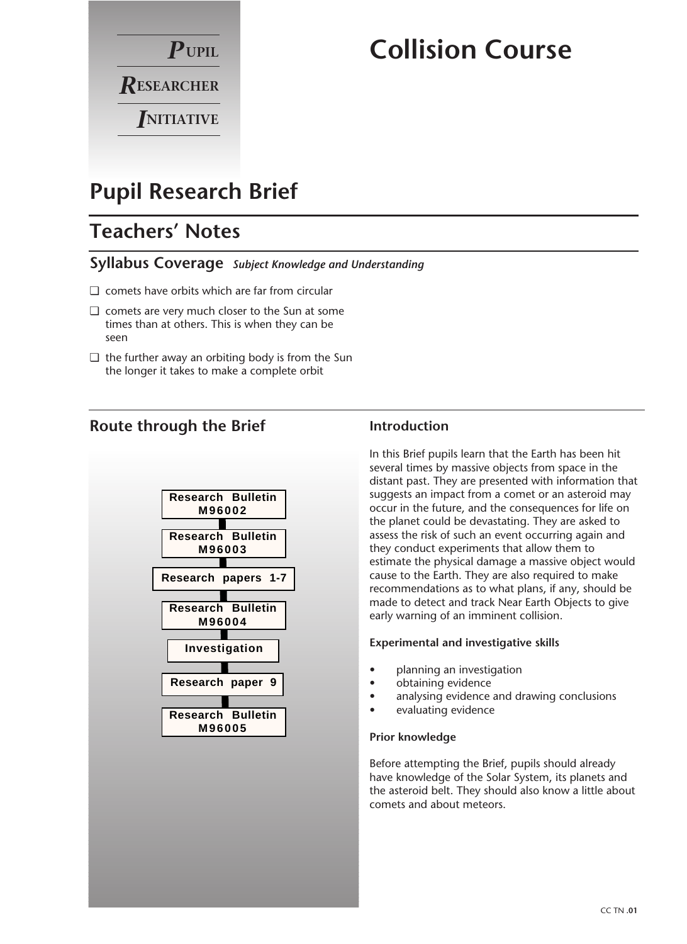

# **Collision Course**

## **Pupil Research Brief**

## **Teachers' Notes**

### **Syllabus Coverage** *Subject Knowledge and Understanding*

- ❏ comets have orbits which are far from circular
- ❏ comets are very much closer to the Sun at some times than at others. This is when they can be seen
- ❏ the further away an orbiting body is from the Sun the longer it takes to make a complete orbit

## **Route through the Brief**



## **Introduction**

In this Brief pupils learn that the Earth has been hit several times by massive objects from space in the distant past. They are presented with information that suggests an impact from a comet or an asteroid may occur in the future, and the consequences for life on the planet could be devastating. They are asked to assess the risk of such an event occurring again and they conduct experiments that allow them to estimate the physical damage a massive object would cause to the Earth. They are also required to make recommendations as to what plans, if any, should be made to detect and track Near Earth Objects to give early warning of an imminent collision.

#### **Experimental and investigative skills**

- planning an investigation
- obtaining evidence
- analysing evidence and drawing conclusions
- evaluating evidence

#### **Prior knowledge**

Before attempting the Brief, pupils should already have knowledge of the Solar System, its planets and the asteroid belt. They should also know a little about comets and about meteors.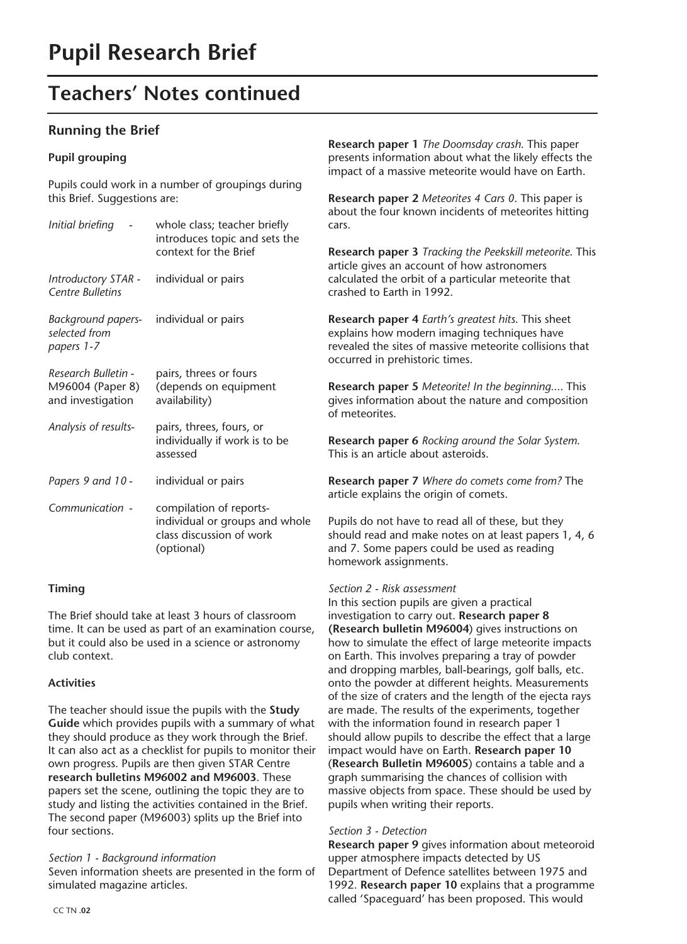## **Teachers' Notes continued**

### **Running the Brief**

#### **Pupil grouping**

Pupils could work in a number of groupings during this Brief. Suggestions are:

| Initial briefing                                             | whole class; teacher briefly<br>introduces topic and sets the<br>context for the Brief              |  |
|--------------------------------------------------------------|-----------------------------------------------------------------------------------------------------|--|
| Introductory STAR -<br><b>Centre Bulletins</b>               | individual or pairs                                                                                 |  |
| Background papers-<br>selected from<br>papers 1-7            | individual or pairs                                                                                 |  |
| Research Bulletin -<br>M96004 (Paper 8)<br>and investigation | pairs, threes or fours<br>(depends on equipment<br>availability)                                    |  |
| Analysis of results-                                         | pairs, threes, fours, or<br>individually if work is to be<br>assessed                               |  |
| Papers 9 and 10 -                                            | individual or pairs                                                                                 |  |
| Communication -                                              | compilation of reports-<br>individual or groups and whole<br>class discussion of work<br>(optional) |  |

#### **Timing**

The Brief should take at least 3 hours of classroom time. It can be used as part of an examination course, but it could also be used in a science or astronomy club context.

#### **Activities**

The teacher should issue the pupils with the **Study Guide** which provides pupils with a summary of what they should produce as they work through the Brief. It can also act as a checklist for pupils to monitor their own progress. Pupils are then given STAR Centre **research bulletins M96002 and M96003**. These papers set the scene, outlining the topic they are to study and listing the activities contained in the Brief. The second paper (M96003) splits up the Brief into four sections.

#### *Section 1 - Background information*

Seven information sheets are presented in the form of simulated magazine articles.

**Research paper 1** *The Doomsday crash*. This paper presents information about what the likely effects the impact of a massive meteorite would have on Earth.

**Research paper 2** *Meteorites 4 Cars 0*. This paper is about the four known incidents of meteorites hitting cars.

**Research paper 3** *Tracking the Peekskill meteorite*. This article gives an account of how astronomers calculated the orbit of a particular meteorite that crashed to Earth in 1992.

**Research paper 4** *Earth's greatest hits*. This sheet explains how modern imaging techniques have revealed the sites of massive meteorite collisions that occurred in prehistoric times.

**Research paper 5** *Meteorite! In the beginning....* This gives information about the nature and composition of meteorites.

**Research paper 6** *Rocking around the Solar System*. This is an article about asteroids.

**Research paper 7** *Where do comets come from?* The article explains the origin of comets.

Pupils do not have to read all of these, but they should read and make notes on at least papers 1, 4, 6 and 7. Some papers could be used as reading homework assignments.

#### *Section 2 - Risk assessment*

In this section pupils are given a practical investigation to carry out. **Research paper 8 (Research bulletin M96004**) gives instructions on how to simulate the effect of large meteorite impacts on Earth. This involves preparing a tray of powder and dropping marbles, ball-bearings, golf balls, etc. onto the powder at different heights. Measurements of the size of craters and the length of the ejecta rays are made. The results of the experiments, together with the information found in research paper 1 should allow pupils to describe the effect that a large impact would have on Earth. **Research paper 10** (**Research Bulletin M96005**) contains a table and a graph summarising the chances of collision with massive objects from space. These should be used by pupils when writing their reports.

#### *Section 3 - Detection*

**Research paper 9** gives information about meteoroid upper atmosphere impacts detected by US Department of Defence satellites between 1975 and 1992. **Research paper 10** explains that a programme called 'Spaceguard' has been proposed. This would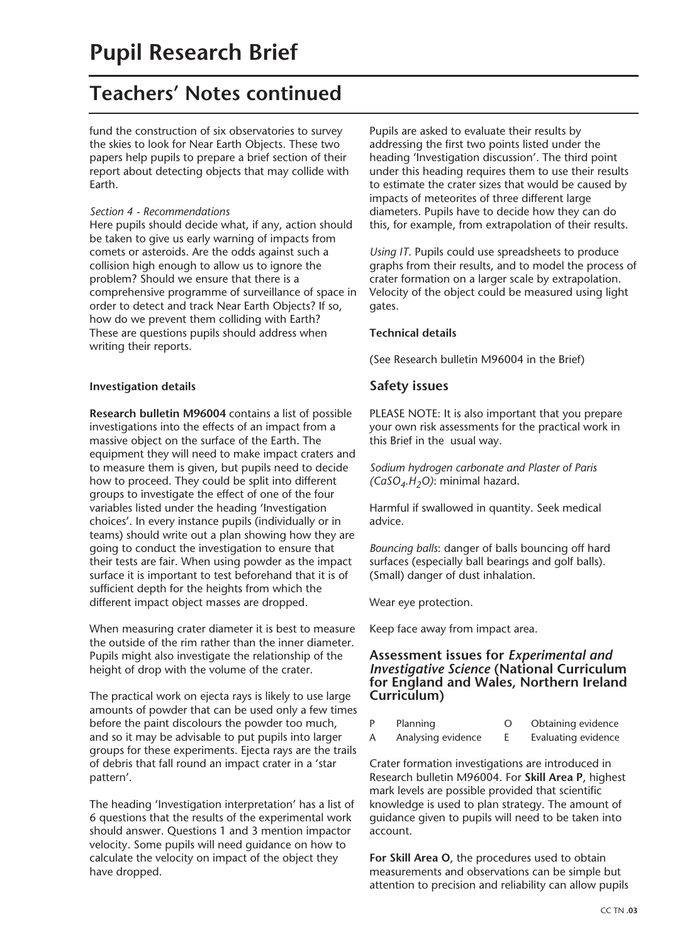## **Teachers' Notes continued**

fund the construction of six observatories to survey the skies to look for Near Earth Objects. These two papers help pupils to prepare a brief section of their report about detecting objects that may collide with Earth.

#### *Section 4 - Recommendations*

Here pupils should decide what, if any, action should be taken to give us early warning of impacts from comets or asteroids. Are the odds against such a collision high enough to allow us to ignore the problem? Should we ensure that there is a comprehensive programme of surveillance of space in order to detect and track Near Earth Objects? If so, how do we prevent them colliding with Earth? These are questions pupils should address when writing their reports.

#### **Investigation details**

**Research bulletin M96004** contains a list of possible investigations into the effects of an impact from a massive object on the surface of the Earth. The equipment they will need to make impact craters and to measure them is given, but pupils need to decide how to proceed. They could be split into different groups to investigate the effect of one of the four variables listed under the heading 'Investigation choices'. In every instance pupils (individually or in teams) should write out a plan showing how they are going to conduct the investigation to ensure that their tests are fair. When using powder as the impact surface it is important to test beforehand that it is of sufficient depth for the heights from which the different impact object masses are dropped.

When measuring crater diameter it is best to measure the outside of the rim rather than the inner diameter. Pupils might also investigate the relationship of the height of drop with the volume of the crater.

The practical work on ejecta rays is likely to use large amounts of powder that can be used only a few times before the paint discolours the powder too much, and so it may be advisable to put pupils into larger groups for these experiments. Ejecta rays are the trails of debris that fall round an impact crater in a 'star pattern'.

The heading 'Investigation interpretation' has a list of 6 questions that the results of the experimental work should answer. Questions 1 and 3 mention impactor velocity. Some pupils will need guidance on how to calculate the velocity on impact of the object they have dropped.

Pupils are asked to evaluate their results by addressing the first two points listed under the heading 'Investigation discussion'. The third point under this heading requires them to use their results to estimate the crater sizes that would be caused by impacts of meteorites of three different large diameters. Pupils have to decide how they can do this, for example, from extrapolation of their results.

*Using IT*. Pupils could use spreadsheets to produce graphs from their results, and to model the process of crater formation on a larger scale by extrapolation. Velocity of the object could be measured using light gates.

#### **Technical details**

(See Research bulletin M96004 in the Brief)

### **Safety issues**

PLEASE NOTE: It is also important that you prepare your own risk assessments for the practical work in this Brief in the usual way.

*Sodium hydrogen carbonate and Plaster of Paris (CaSO4.H2O)*: minimal hazard.

Harmful if swallowed in quantity. Seek medical advice.

*Bouncing balls*: danger of balls bouncing off hard surfaces (especially ball bearings and golf balls). (Small) danger of dust inhalation.

Wear eye protection.

Keep face away from impact area.

#### **Assessment issues for** *Experimental and Investigative Science* **(National Curriculum for England and Wales, Northern Ireland Curriculum)**

| Planning           | Obtaining evidence  |
|--------------------|---------------------|
| Analysing evidence | Evaluating evidence |

Crater formation investigations are introduced in Research bulletin M96004. For **Skill Area P**, highest mark levels are possible provided that scientific knowledge is used to plan strategy. The amount of guidance given to pupils will need to be taken into account.

**For Skill Area O**, the procedures used to obtain measurements and observations can be simple but attention to precision and reliability can allow pupils